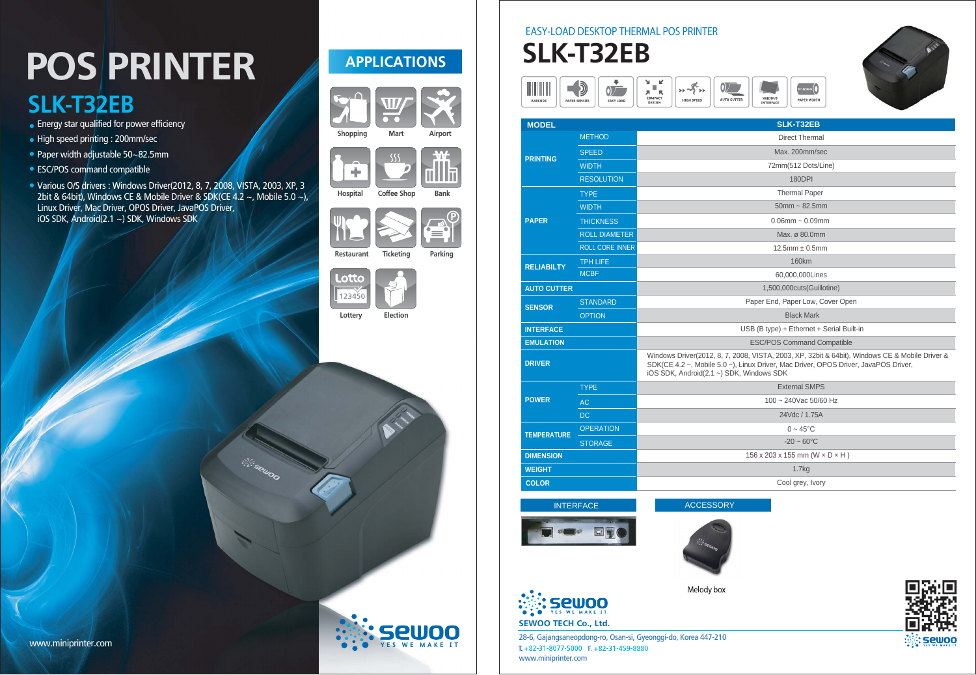## POS PRINTER **SLK-T32EB**

- **Energy star qualified for power efficiency**
- High speed printing : 200mm/sec
- Paper width adjustable 50~82.5mm
- ESC/POS command compatible
- Various O/S drivers : Windows Driver(2012, 8, 7, 2008, VISTA, 2003, XP, 3 2bit & 64bit), Windows CE & Mobile Driver & SDK(CE 4.2  $\sim$ , Mobile 5.0  $\sim$ ), Linux Driver, Mac Driver, OPOS Driver, JavaPOS Driver, iOS SDK, Android(2.1 ~) SDK, Windows SDK

## **APPLICATIONS**





Shopping

÷

 $SS$ 



Hospital

Coffee Shop Bank





Restaurant

Ticketing Parking





Lottery Election



www.miniprinter.com